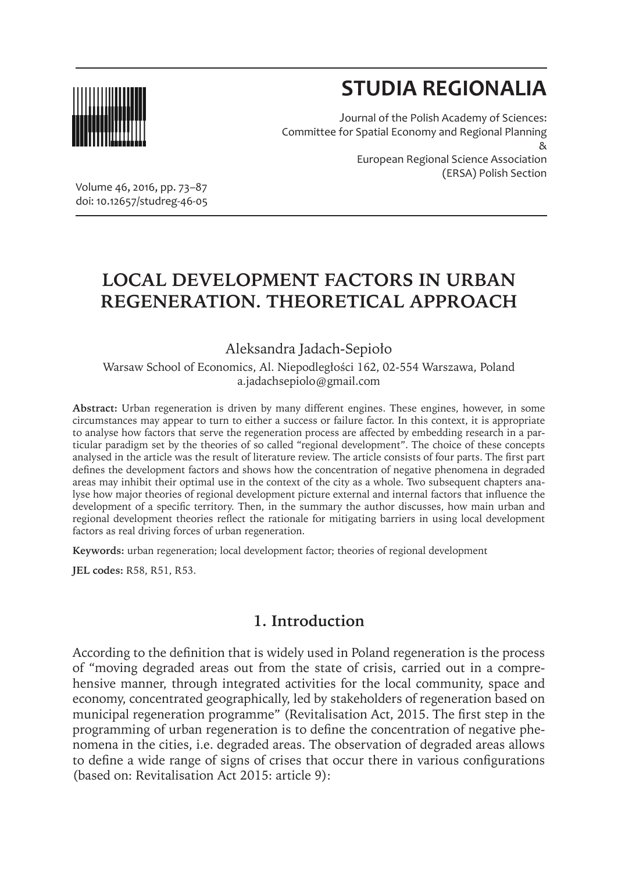

# **STUDIA REGIONALIA**

(ERSA) Polish Section

Journal of the Polish Academy of Sciences: Committee for Spatial Economy and Regional Planning & European Regional Science Association

Volume 46, 2016, pp. 73–87 doi: 10.12657/studreg-46-05

## **LOCAL DEVELOPMENT FACTORS IN URBAN REGENERATION. THEORETICAL APPROACH**

Aleksandra Jadach-Sepioło

Warsaw School of Economics, Al. Niepodległości 162, 02-554 Warszawa, Poland a.jadachsepiolo@gmail.com

**Abstract:** Urban regeneration is driven by many different engines. These engines, however, in some circumstances may appear to turn to either a success or failure factor. In this context, it is appropriate to analyse how factors that serve the regeneration process are affected by embedding research in a particular paradigm set by the theories of so called "regional development". The choice of these concepts analysed in the article was the result of literature review. The article consists of four parts. The first part defines the development factors and shows how the concentration of negative phenomena in degraded areas may inhibit their optimal use in the context of the city as a whole. Two subsequent chapters analyse how major theories of regional development picture external and internal factors that influence the development of a specific territory. Then, in the summary the author discusses, how main urban and regional development theories reflect the rationale for mitigating barriers in using local development factors as real driving forces of urban regeneration.

**Keywords:** urban regeneration; local development factor; theories of regional development

**JEL codes:** R58, R51, R53.

## **1. Introduction**

According to the definition that is widely used in Poland regeneration is the process of "moving degraded areas out from the state of crisis, carried out in a comprehensive manner, through integrated activities for the local community, space and economy, concentrated geographically, led by stakeholders of regeneration based on municipal regeneration programme" (Revitalisation Act, 2015. The first step in the programming of urban regeneration is to define the concentration of negative phenomena in the cities, i.e. degraded areas. The observation of degraded areas allows to define a wide range of signs of crises that occur there in various configurations (based on: Revitalisation Act 2015: article 9):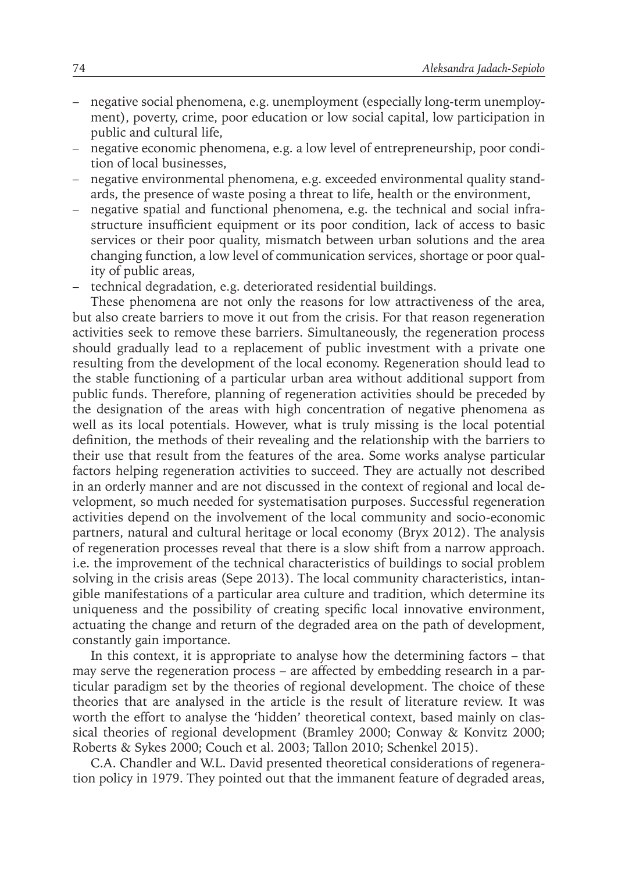- negative social phenomena, e.g. unemployment (especially long-term unemployment), poverty, crime, poor education or low social capital, low participation in public and cultural life,
- negative economic phenomena, e.g. a low level of entrepreneurship, poor condition of local businesses,
- negative environmental phenomena, e.g. exceeded environmental quality standards, the presence of waste posing a threat to life, health or the environment,
- negative spatial and functional phenomena, e.g. the technical and social infrastructure insufficient equipment or its poor condition, lack of access to basic services or their poor quality, mismatch between urban solutions and the area changing function, a low level of communication services, shortage or poor quality of public areas,
- technical degradation, e.g. deteriorated residential buildings.

These phenomena are not only the reasons for low attractiveness of the area, but also create barriers to move it out from the crisis. For that reason regeneration activities seek to remove these barriers. Simultaneously, the regeneration process should gradually lead to a replacement of public investment with a private one resulting from the development of the local economy. Regeneration should lead to the stable functioning of a particular urban area without additional support from public funds. Therefore, planning of regeneration activities should be preceded by the designation of the areas with high concentration of negative phenomena as well as its local potentials. However, what is truly missing is the local potential definition, the methods of their revealing and the relationship with the barriers to their use that result from the features of the area. Some works analyse particular factors helping regeneration activities to succeed. They are actually not described in an orderly manner and are not discussed in the context of regional and local development, so much needed for systematisation purposes. Successful regeneration activities depend on the involvement of the local community and socio-economic partners, natural and cultural heritage or local economy (Bryx 2012). The analysis of regeneration processes reveal that there is a slow shift from a narrow approach. i.e. the improvement of the technical characteristics of buildings to social problem solving in the crisis areas (Sepe 2013). The local community characteristics, intangible manifestations of a particular area culture and tradition, which determine its uniqueness and the possibility of creating specific local innovative environment, actuating the change and return of the degraded area on the path of development, constantly gain importance.

In this context, it is appropriate to analyse how the determining factors – that may serve the regeneration process – are affected by embedding research in a particular paradigm set by the theories of regional development. The choice of these theories that are analysed in the article is the result of literature review. It was worth the effort to analyse the 'hidden' theoretical context, based mainly on classical theories of regional development (Bramley 2000; Conway & Konvitz 2000; Roberts & Sykes 2000; Couch et al. 2003; Tallon 2010; Schenkel 2015).

C.A. Chandler and W.L. David presented theoretical considerations of regeneration policy in 1979. They pointed out that the immanent feature of degraded areas,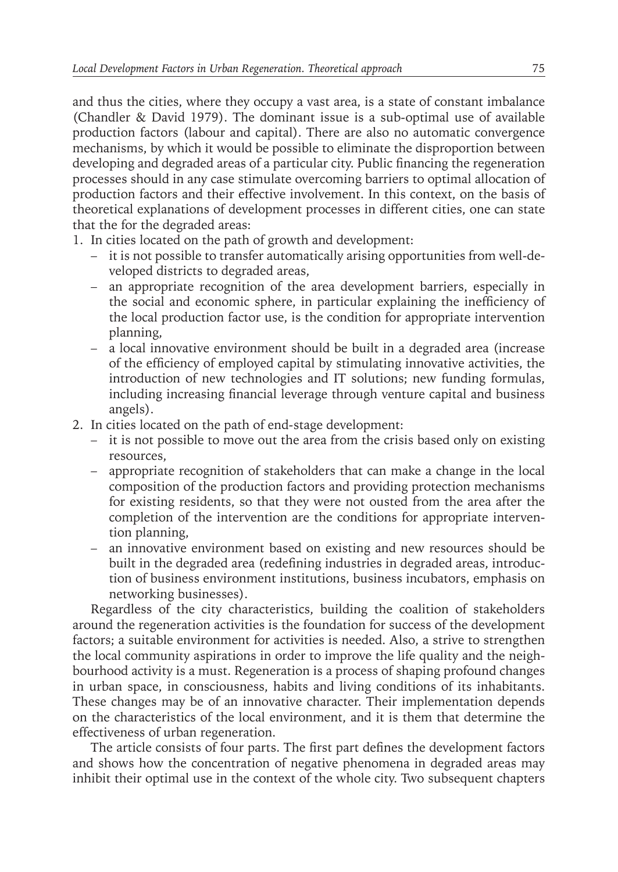and thus the cities, where they occupy a vast area, is a state of constant imbalance (Chandler & David 1979). The dominant issue is a sub-optimal use of available production factors (labour and capital). There are also no automatic convergence mechanisms, by which it would be possible to eliminate the disproportion between developing and degraded areas of a particular city. Public financing the regeneration processes should in any case stimulate overcoming barriers to optimal allocation of production factors and their effective involvement. In this context, on the basis of theoretical explanations of development processes in different cities, one can state that the for the degraded areas:

- 1. In cities located on the path of growth and development:
	- it is not possible to transfer automatically arising opportunities from well-developed districts to degraded areas,
	- an appropriate recognition of the area development barriers, especially in the social and economic sphere, in particular explaining the inefficiency of the local production factor use, is the condition for appropriate intervention planning,
	- a local innovative environment should be built in a degraded area (increase of the efficiency of employed capital by stimulating innovative activities, the introduction of new technologies and IT solutions; new funding formulas, including increasing financial leverage through venture capital and business angels).
- 2. In cities located on the path of end-stage development:
	- it is not possible to move out the area from the crisis based only on existing resources,
	- appropriate recognition of stakeholders that can make a change in the local composition of the production factors and providing protection mechanisms for existing residents, so that they were not ousted from the area after the completion of the intervention are the conditions for appropriate intervention planning,
	- an innovative environment based on existing and new resources should be built in the degraded area (redefining industries in degraded areas, introduction of business environment institutions, business incubators, emphasis on networking businesses).

Regardless of the city characteristics, building the coalition of stakeholders around the regeneration activities is the foundation for success of the development factors; a suitable environment for activities is needed. Also, a strive to strengthen the local community aspirations in order to improve the life quality and the neighbourhood activity is a must. Regeneration is a process of shaping profound changes in urban space, in consciousness, habits and living conditions of its inhabitants. These changes may be of an innovative character. Their implementation depends on the characteristics of the local environment, and it is them that determine the effectiveness of urban regeneration.

The article consists of four parts. The first part defines the development factors and shows how the concentration of negative phenomena in degraded areas may inhibit their optimal use in the context of the whole city. Two subsequent chapters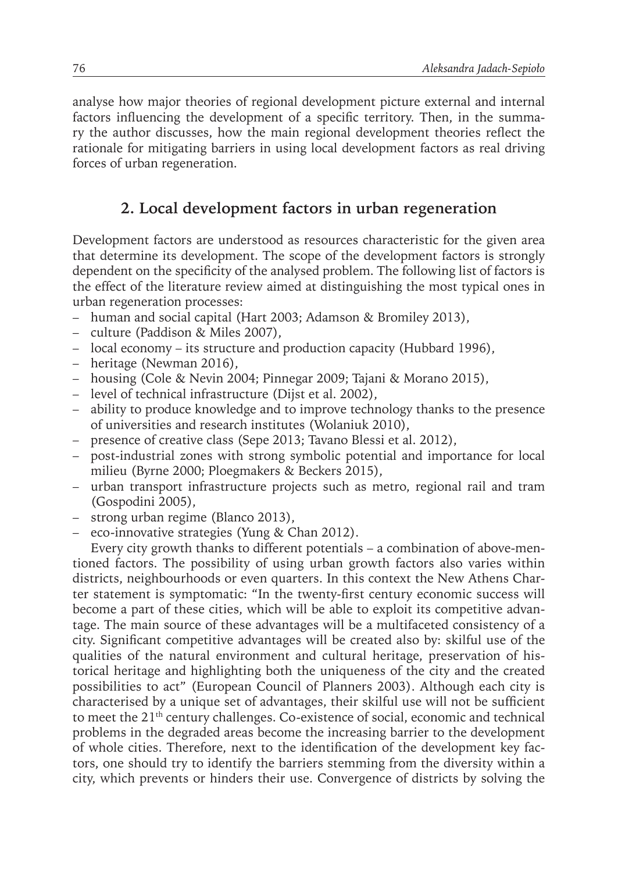analyse how major theories of regional development picture external and internal factors influencing the development of a specific territory. Then, in the summary the author discusses, how the main regional development theories reflect the rationale for mitigating barriers in using local development factors as real driving forces of urban regeneration.

### **2. Local development factors in urban regeneration**

Development factors are understood as resources characteristic for the given area that determine its development. The scope of the development factors is strongly dependent on the specificity of the analysed problem. The following list of factors is the effect of the literature review aimed at distinguishing the most typical ones in urban regeneration processes:

- human and social capital (Hart 2003; Adamson & Bromiley 2013),
- culture (Paddison & Miles 2007),
- local economy its structure and production capacity (Hubbard 1996),
- heritage (Newman 2016),
- housing (Cole & Nevin 2004; Pinnegar 2009; Tajani & Morano 2015),
- level of technical infrastructure (Dijst et al. 2002),
- ability to produce knowledge and to improve technology thanks to the presence of universities and research institutes (Wolaniuk 2010),
- presence of creative class (Sepe 2013; Tavano Blessi et al. 2012),
- post-industrial zones with strong symbolic potential and importance for local milieu (Byrne 2000; Ploegmakers & Beckers 2015),
- urban transport infrastructure projects such as metro, regional rail and tram (Gospodini 2005),
- strong urban regime (Blanco 2013),
- eco-innovative strategies (Yung & Chan 2012).

Every city growth thanks to different potentials – a combination of above-mentioned factors. The possibility of using urban growth factors also varies within districts, neighbourhoods or even quarters. In this context the New Athens Charter statement is symptomatic: "In the twenty-first century economic success will become a part of these cities, which will be able to exploit its competitive advantage. The main source of these advantages will be a multifaceted consistency of a city. Significant competitive advantages will be created also by: skilful use of the qualities of the natural environment and cultural heritage, preservation of historical heritage and highlighting both the uniqueness of the city and the created possibilities to act" (European Council of Planners 2003). Although each city is characterised by a unique set of advantages, their skilful use will not be sufficient to meet the 21<sup>th</sup> century challenges. Co-existence of social, economic and technical problems in the degraded areas become the increasing barrier to the development of whole cities. Therefore, next to the identification of the development key factors, one should try to identify the barriers stemming from the diversity within a city, which prevents or hinders their use. Convergence of districts by solving the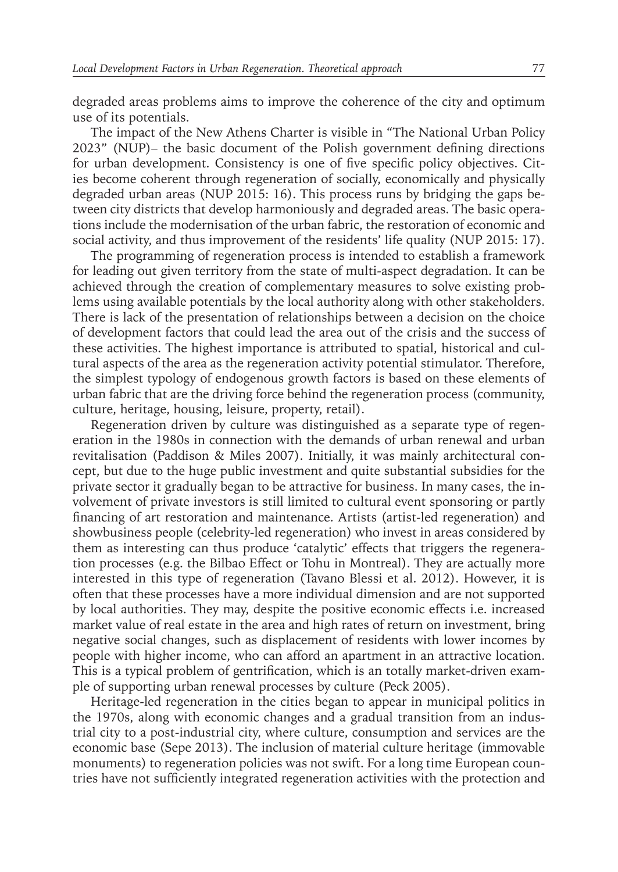degraded areas problems aims to improve the coherence of the city and optimum use of its potentials.

The impact of the New Athens Charter is visible in "The National Urban Policy 2023" (NUP)– the basic document of the Polish government defining directions for urban development. Consistency is one of five specific policy objectives. Cities become coherent through regeneration of socially, economically and physically degraded urban areas (NUP 2015: 16). This process runs by bridging the gaps between city districts that develop harmoniously and degraded areas. The basic operations include the modernisation of the urban fabric, the restoration of economic and social activity, and thus improvement of the residents' life quality (NUP 2015: 17).

The programming of regeneration process is intended to establish a framework for leading out given territory from the state of multi-aspect degradation. It can be achieved through the creation of complementary measures to solve existing problems using available potentials by the local authority along with other stakeholders. There is lack of the presentation of relationships between a decision on the choice of development factors that could lead the area out of the crisis and the success of these activities. The highest importance is attributed to spatial, historical and cultural aspects of the area as the regeneration activity potential stimulator. Therefore, the simplest typology of endogenous growth factors is based on these elements of urban fabric that are the driving force behind the regeneration process (community, culture, heritage, housing, leisure, property, retail).

Regeneration driven by culture was distinguished as a separate type of regeneration in the 1980s in connection with the demands of urban renewal and urban revitalisation (Paddison & Miles 2007). Initially, it was mainly architectural concept, but due to the huge public investment and quite substantial subsidies for the private sector it gradually began to be attractive for business. In many cases, the involvement of private investors is still limited to cultural event sponsoring or partly financing of art restoration and maintenance. Artists (artist-led regeneration) and showbusiness people (celebrity-led regeneration) who invest in areas considered by them as interesting can thus produce 'catalytic' effects that triggers the regeneration processes (e.g. the Bilbao Effect or Tohu in Montreal). They are actually more interested in this type of regeneration (Tavano Blessi et al. 2012). However, it is often that these processes have a more individual dimension and are not supported by local authorities. They may, despite the positive economic effects i.e. increased market value of real estate in the area and high rates of return on investment, bring negative social changes, such as displacement of residents with lower incomes by people with higher income, who can afford an apartment in an attractive location. This is a typical problem of gentrification, which is an totally market-driven example of supporting urban renewal processes by culture (Peck 2005).

Heritage-led regeneration in the cities began to appear in municipal politics in the 1970s, along with economic changes and a gradual transition from an industrial city to a post-industrial city, where culture, consumption and services are the economic base (Sepe 2013). The inclusion of material culture heritage (immovable monuments) to regeneration policies was not swift. For a long time European countries have not sufficiently integrated regeneration activities with the protection and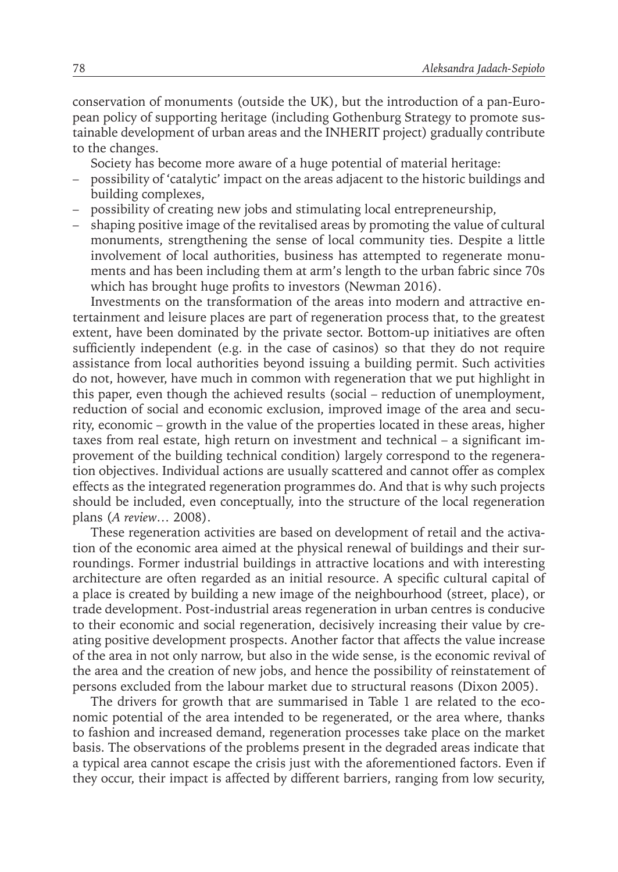conservation of monuments (outside the UK), but the introduction of a pan-European policy of supporting heritage (including Gothenburg Strategy to promote sustainable development of urban areas and the INHERIT project) gradually contribute to the changes.

Society has become more aware of a huge potential of material heritage:

- possibility of 'catalytic' impact on the areas adjacent to the historic buildings and building complexes,
- possibility of creating new jobs and stimulating local entrepreneurship,
- shaping positive image of the revitalised areas by promoting the value of cultural monuments, strengthening the sense of local community ties. Despite a little involvement of local authorities, business has attempted to regenerate monuments and has been including them at arm's length to the urban fabric since 70s which has brought huge profits to investors (Newman 2016).

Investments on the transformation of the areas into modern and attractive entertainment and leisure places are part of regeneration process that, to the greatest extent, have been dominated by the private sector. Bottom-up initiatives are often sufficiently independent (e.g. in the case of casinos) so that they do not require assistance from local authorities beyond issuing a building permit. Such activities do not, however, have much in common with regeneration that we put highlight in this paper, even though the achieved results (social – reduction of unemployment, reduction of social and economic exclusion, improved image of the area and security, economic – growth in the value of the properties located in these areas, higher taxes from real estate, high return on investment and technical – a significant improvement of the building technical condition) largely correspond to the regeneration objectives. Individual actions are usually scattered and cannot offer as complex effects as the integrated regeneration programmes do. And that is why such projects should be included, even conceptually, into the structure of the local regeneration plans (*A review…* 2008).

These regeneration activities are based on development of retail and the activation of the economic area aimed at the physical renewal of buildings and their surroundings. Former industrial buildings in attractive locations and with interesting architecture are often regarded as an initial resource. A specific cultural capital of a place is created by building a new image of the neighbourhood (street, place), or trade development. Post-industrial areas regeneration in urban centres is conducive to their economic and social regeneration, decisively increasing their value by creating positive development prospects. Another factor that affects the value increase of the area in not only narrow, but also in the wide sense, is the economic revival of the area and the creation of new jobs, and hence the possibility of reinstatement of persons excluded from the labour market due to structural reasons (Dixon 2005).

The drivers for growth that are summarised in Table 1 are related to the economic potential of the area intended to be regenerated, or the area where, thanks to fashion and increased demand, regeneration processes take place on the market basis. The observations of the problems present in the degraded areas indicate that a typical area cannot escape the crisis just with the aforementioned factors. Even if they occur, their impact is affected by different barriers, ranging from low security,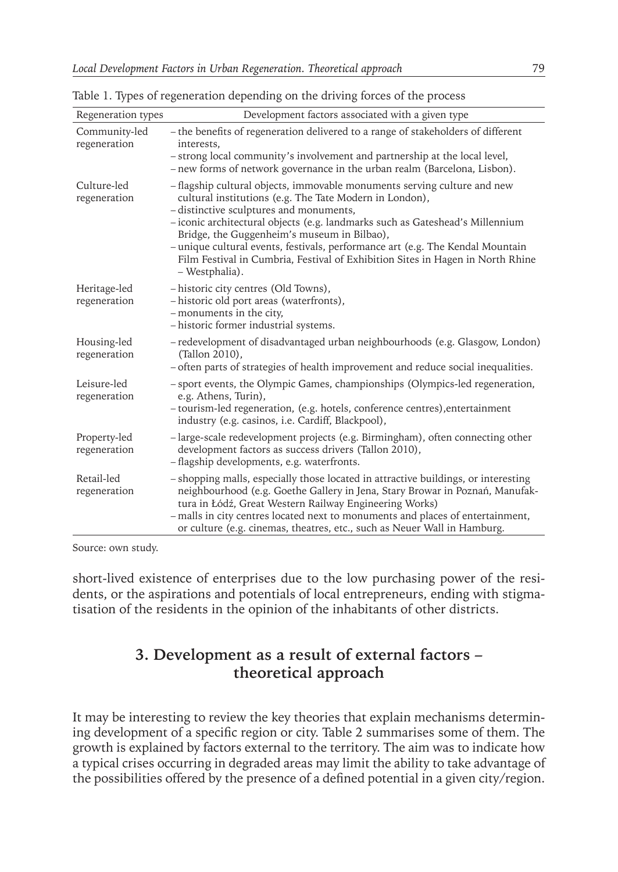| Regeneration types            | Development factors associated with a given type                                                                                                                                                                                                                                                                                                                                                                                                                                                     |
|-------------------------------|------------------------------------------------------------------------------------------------------------------------------------------------------------------------------------------------------------------------------------------------------------------------------------------------------------------------------------------------------------------------------------------------------------------------------------------------------------------------------------------------------|
| Community-led<br>regeneration | - the benefits of regeneration delivered to a range of stakeholders of different<br>interests.<br>- strong local community's involvement and partnership at the local level,<br>- new forms of network governance in the urban realm (Barcelona, Lisbon).                                                                                                                                                                                                                                            |
| Culture-led<br>regeneration   | - flagship cultural objects, immovable monuments serving culture and new<br>cultural institutions (e.g. The Tate Modern in London),<br>- distinctive sculptures and monuments,<br>- iconic architectural objects (e.g. landmarks such as Gateshead's Millennium<br>Bridge, the Guggenheim's museum in Bilbao),<br>- unique cultural events, festivals, performance art (e.g. The Kendal Mountain<br>Film Festival in Cumbria, Festival of Exhibition Sites in Hagen in North Rhine<br>- Westphalia). |
| Heritage-led<br>regeneration  | - historic city centres (Old Towns),<br>- historic old port areas (waterfronts),<br>- monuments in the city,<br>- historic former industrial systems.                                                                                                                                                                                                                                                                                                                                                |
| Housing-led<br>regeneration   | - redevelopment of disadvantaged urban neighbourhoods (e.g. Glasgow, London)<br>(Tallon 2010),<br>- often parts of strategies of health improvement and reduce social inequalities.                                                                                                                                                                                                                                                                                                                  |
| Leisure-led<br>regeneration   | - sport events, the Olympic Games, championships (Olympics-led regeneration,<br>e.g. Athens, Turin),<br>- tourism-led regeneration, (e.g. hotels, conference centres), entertainment<br>industry (e.g. casinos, i.e. Cardiff, Blackpool),                                                                                                                                                                                                                                                            |
| Property-led<br>regeneration  | - large-scale redevelopment projects (e.g. Birmingham), often connecting other<br>development factors as success drivers (Tallon 2010),<br>- flagship developments, e.g. waterfronts.                                                                                                                                                                                                                                                                                                                |
| Retail-led<br>regeneration    | - shopping malls, especially those located in attractive buildings, or interesting<br>neighbourhood (e.g. Goethe Gallery in Jena, Stary Browar in Poznań, Manufak-<br>tura in Łódź, Great Western Railway Engineering Works)<br>- malls in city centres located next to monuments and places of entertainment,<br>or culture (e.g. cinemas, theatres, etc., such as Neuer Wall in Hamburg.                                                                                                           |

Table 1. Types of regeneration depending on the driving forces of the process

Source: own study.

short-lived existence of enterprises due to the low purchasing power of the residents, or the aspirations and potentials of local entrepreneurs, ending with stigmatisation of the residents in the opinion of the inhabitants of other districts.

## **3. Development as a result of external factors – theoretical approach**

It may be interesting to review the key theories that explain mechanisms determining development of a specific region or city. Table 2 summarises some of them. The growth is explained by factors external to the territory. The aim was to indicate how a typical crises occurring in degraded areas may limit the ability to take advantage of the possibilities offered by the presence of a defined potential in a given city/region.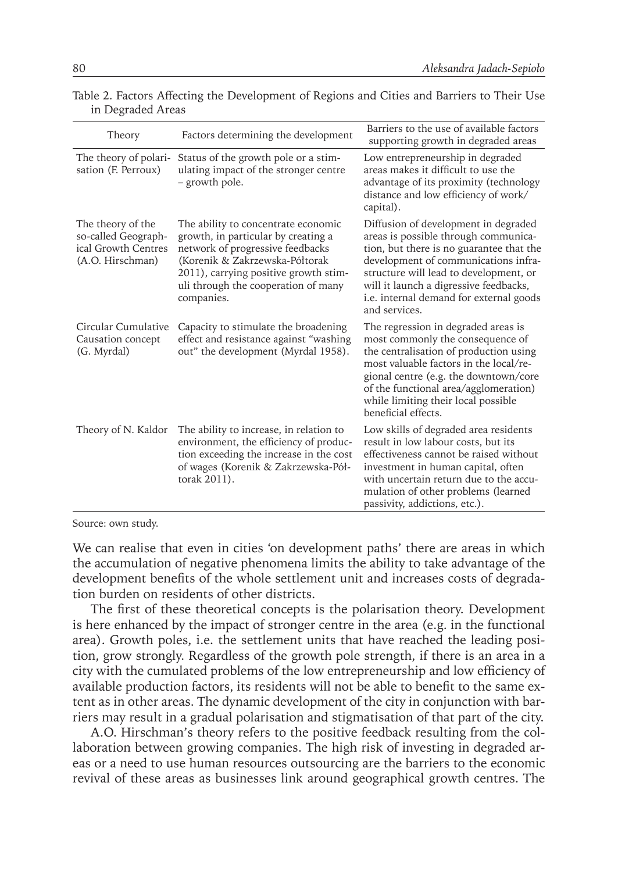| Theory                                                                              | Factors determining the development                                                                                                                                                                                                            | Barriers to the use of available factors<br>supporting growth in degraded areas                                                                                                                                                                                                                                  |
|-------------------------------------------------------------------------------------|------------------------------------------------------------------------------------------------------------------------------------------------------------------------------------------------------------------------------------------------|------------------------------------------------------------------------------------------------------------------------------------------------------------------------------------------------------------------------------------------------------------------------------------------------------------------|
| The theory of polari-<br>sation (F. Perroux)                                        | Status of the growth pole or a stim-<br>ulating impact of the stronger centre<br>- growth pole.                                                                                                                                                | Low entrepreneurship in degraded<br>areas makes it difficult to use the<br>advantage of its proximity (technology<br>distance and low efficiency of work/<br>capital).                                                                                                                                           |
| The theory of the<br>so-called Geograph-<br>ical Growth Centres<br>(A.O. Hirschman) | The ability to concentrate economic<br>growth, in particular by creating a<br>network of progressive feedbacks<br>(Korenik & Zakrzewska-Półtorak<br>2011), carrying positive growth stim-<br>uli through the cooperation of many<br>companies. | Diffusion of development in degraded<br>areas is possible through communica-<br>tion, but there is no guarantee that the<br>development of communications infra-<br>structure will lead to development, or<br>will it launch a digressive feedbacks,<br>i.e. internal demand for external goods<br>and services. |
| Circular Cumulative<br>Causation concept<br>(G. Myrdal)                             | Capacity to stimulate the broadening<br>effect and resistance against "washing<br>out" the development (Myrdal 1958).                                                                                                                          | The regression in degraded areas is<br>most commonly the consequence of<br>the centralisation of production using<br>most valuable factors in the local/re-<br>gional centre (e.g. the downtown/core<br>of the functional area/agglomeration)<br>while limiting their local possible<br>beneficial effects.      |
| Theory of N. Kaldor                                                                 | The ability to increase, in relation to<br>environment, the efficiency of produc-<br>tion exceeding the increase in the cost<br>of wages (Korenik & Zakrzewska-Pół-<br>torak 2011).                                                            | Low skills of degraded area residents<br>result in low labour costs, but its<br>effectiveness cannot be raised without<br>investment in human capital, often<br>with uncertain return due to the accu-<br>mulation of other problems (learned<br>passivity, addictions, etc.).                                   |

Table 2. Factors Affecting the Development of Regions and Cities and Barriers to Their Use in Degraded Areas

Source: own study.

We can realise that even in cities 'on development paths' there are areas in which the accumulation of negative phenomena limits the ability to take advantage of the development benefits of the whole settlement unit and increases costs of degradation burden on residents of other districts.

The first of these theoretical concepts is the polarisation theory. Development is here enhanced by the impact of stronger centre in the area (e.g. in the functional area). Growth poles, i.e. the settlement units that have reached the leading position, grow strongly. Regardless of the growth pole strength, if there is an area in a city with the cumulated problems of the low entrepreneurship and low efficiency of available production factors, its residents will not be able to benefit to the same extent as in other areas. The dynamic development of the city in conjunction with barriers may result in a gradual polarisation and stigmatisation of that part of the city.

A.O. Hirschman's theory refers to the positive feedback resulting from the collaboration between growing companies. The high risk of investing in degraded areas or a need to use human resources outsourcing are the barriers to the economic revival of these areas as businesses link around geographical growth centres. The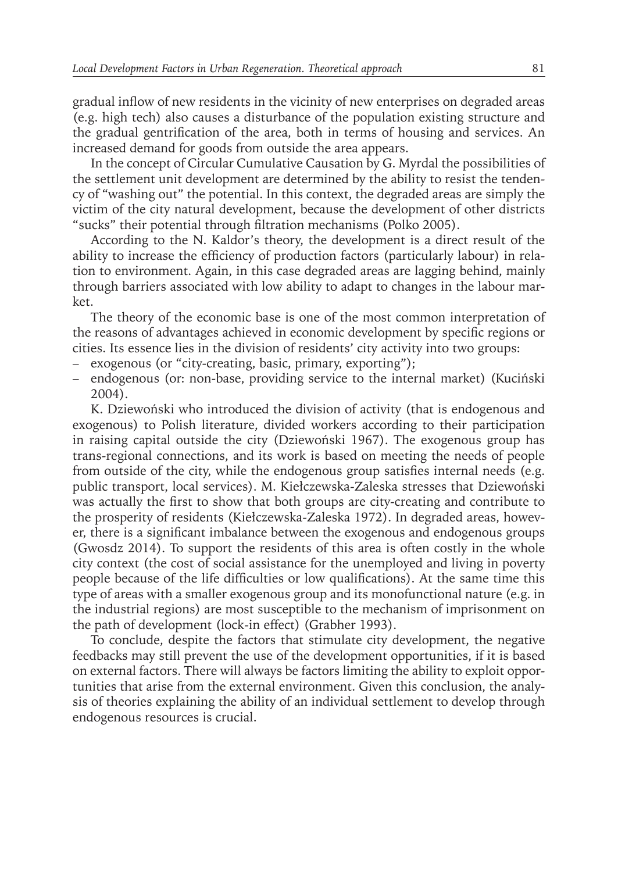gradual inflow of new residents in the vicinity of new enterprises on degraded areas (e.g. high tech) also causes a disturbance of the population existing structure and the gradual gentrification of the area, both in terms of housing and services. An increased demand for goods from outside the area appears.

In the concept of Circular Cumulative Causation by G. Myrdal the possibilities of the settlement unit development are determined by the ability to resist the tendency of "washing out" the potential. In this context, the degraded areas are simply the victim of the city natural development, because the development of other districts "sucks" their potential through filtration mechanisms (Polko 2005).

According to the N. Kaldor's theory, the development is a direct result of the ability to increase the efficiency of production factors (particularly labour) in relation to environment. Again, in this case degraded areas are lagging behind, mainly through barriers associated with low ability to adapt to changes in the labour market.

The theory of the economic base is one of the most common interpretation of the reasons of advantages achieved in economic development by specific regions or cities. Its essence lies in the division of residents' city activity into two groups:

- exogenous (or "city-creating, basic, primary, exporting");
- endogenous (or: non-base, providing service to the internal market) (Kuciński 2004).

K. Dziewoński who introduced the division of activity (that is endogenous and exogenous) to Polish literature, divided workers according to their participation in raising capital outside the city (Dziewoński 1967). The exogenous group has trans-regional connections, and its work is based on meeting the needs of people from outside of the city, while the endogenous group satisfies internal needs (e.g. public transport, local services). M. Kiełczewska-Zaleska stresses that Dziewoński was actually the first to show that both groups are city-creating and contribute to the prosperity of residents (Kiełczewska-Zaleska 1972). In degraded areas, however, there is a significant imbalance between the exogenous and endogenous groups (Gwosdz 2014). To support the residents of this area is often costly in the whole city context (the cost of social assistance for the unemployed and living in poverty people because of the life difficulties or low qualifications). At the same time this type of areas with a smaller exogenous group and its monofunctional nature (e.g. in the industrial regions) are most susceptible to the mechanism of imprisonment on the path of development (lock-in effect) (Grabher 1993).

To conclude, despite the factors that stimulate city development, the negative feedbacks may still prevent the use of the development opportunities, if it is based on external factors. There will always be factors limiting the ability to exploit opportunities that arise from the external environment. Given this conclusion, the analysis of theories explaining the ability of an individual settlement to develop through endogenous resources is crucial.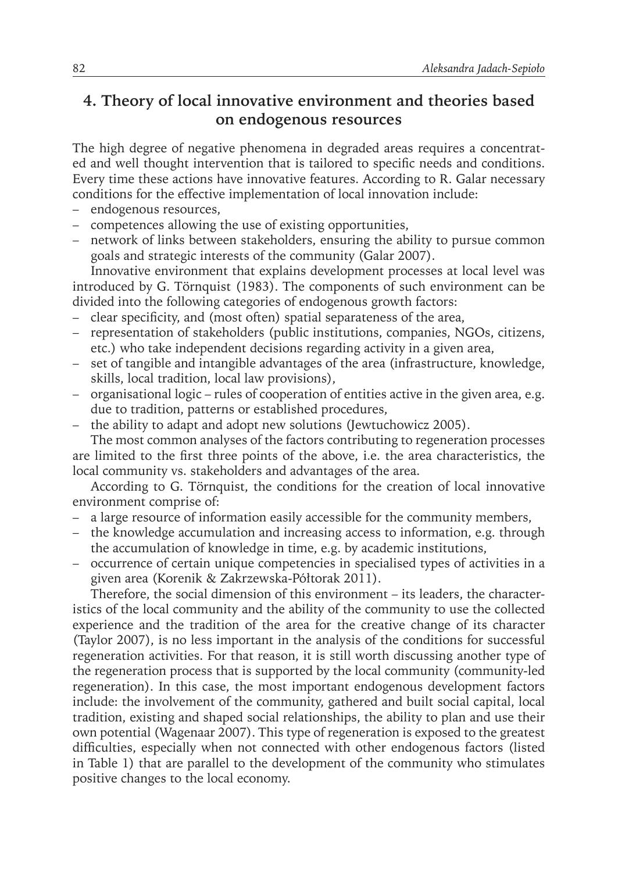## **4. Theory of local innovative environment and theories based on endogenous resources**

The high degree of negative phenomena in degraded areas requires a concentrated and well thought intervention that is tailored to specific needs and conditions. Every time these actions have innovative features. According to R. Galar necessary conditions for the effective implementation of local innovation include:

- endogenous resources,
- competences allowing the use of existing opportunities,
- network of links between stakeholders, ensuring the ability to pursue common goals and strategic interests of the community (Galar 2007).

Innovative environment that explains development processes at local level was introduced by G. Törnquist (1983). The components of such environment can be divided into the following categories of endogenous growth factors:

- clear specificity, and (most often) spatial separateness of the area,
- representation of stakeholders (public institutions, companies, NGOs, citizens, etc.) who take independent decisions regarding activity in a given area,
- set of tangible and intangible advantages of the area (infrastructure, knowledge, skills, local tradition, local law provisions),
- organisational logic rules of cooperation of entities active in the given area, e.g. due to tradition, patterns or established procedures,
- the ability to adapt and adopt new solutions (Jewtuchowicz 2005).

The most common analyses of the factors contributing to regeneration processes are limited to the first three points of the above, i.e. the area characteristics, the local community vs. stakeholders and advantages of the area.

According to G. Törnquist, the conditions for the creation of local innovative environment comprise of:

- a large resource of information easily accessible for the community members,
- the knowledge accumulation and increasing access to information, e.g. through the accumulation of knowledge in time, e.g. by academic institutions,
- occurrence of certain unique competencies in specialised types of activities in a given area (Korenik & Zakrzewska-Półtorak 2011).

Therefore, the social dimension of this environment – its leaders, the characteristics of the local community and the ability of the community to use the collected experience and the tradition of the area for the creative change of its character (Taylor 2007), is no less important in the analysis of the conditions for successful regeneration activities. For that reason, it is still worth discussing another type of the regeneration process that is supported by the local community (community-led regeneration). In this case, the most important endogenous development factors include: the involvement of the community, gathered and built social capital, local tradition, existing and shaped social relationships, the ability to plan and use their own potential (Wagenaar 2007). This type of regeneration is exposed to the greatest difficulties, especially when not connected with other endogenous factors (listed in Table 1) that are parallel to the development of the community who stimulates positive changes to the local economy.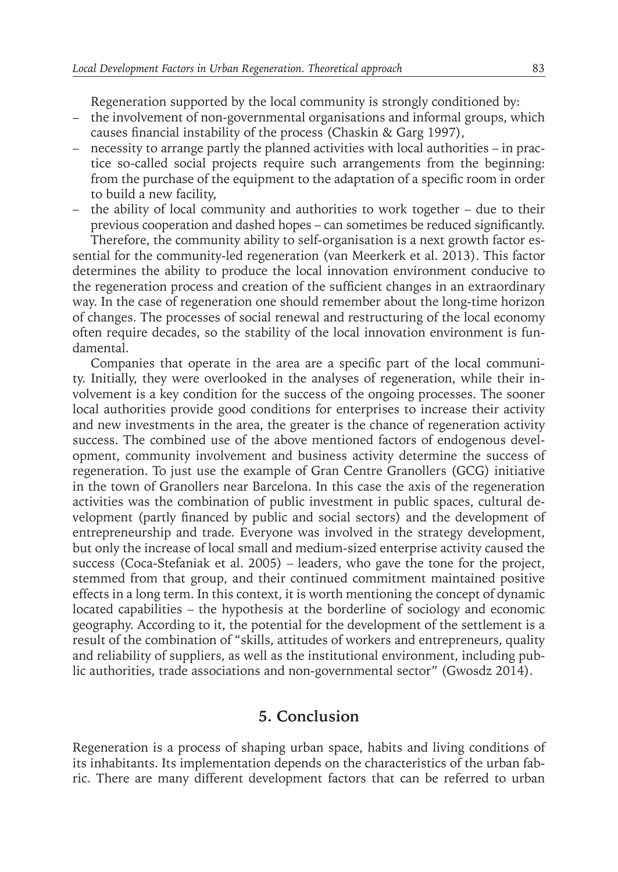Regeneration supported by the local community is strongly conditioned by:

- the involvement of non-governmental organisations and informal groups, which causes financial instability of the process (Chaskin & Garg 1997),
- necessity to arrange partly the planned activities with local authorities in practice so-called social projects require such arrangements from the beginning: from the purchase of the equipment to the adaptation of a specific room in order to build a new facility,
- the ability of local community and authorities to work together due to their previous cooperation and dashed hopes – can sometimes be reduced significantly. Therefore, the community ability to self-organisation is a next growth factor es-

sential for the community-led regeneration (van Meerkerk et al. 2013). This factor determines the ability to produce the local innovation environment conducive to the regeneration process and creation of the sufficient changes in an extraordinary way. In the case of regeneration one should remember about the long-time horizon of changes. The processes of social renewal and restructuring of the local economy often require decades, so the stability of the local innovation environment is fundamental.

Companies that operate in the area are a specific part of the local community. Initially, they were overlooked in the analyses of regeneration, while their involvement is a key condition for the success of the ongoing processes. The sooner local authorities provide good conditions for enterprises to increase their activity and new investments in the area, the greater is the chance of regeneration activity success. The combined use of the above mentioned factors of endogenous development, community involvement and business activity determine the success of regeneration. To just use the example of Gran Centre Granollers (GCG) initiative in the town of Granollers near Barcelona. In this case the axis of the regeneration activities was the combination of public investment in public spaces, cultural development (partly financed by public and social sectors) and the development of entrepreneurship and trade. Everyone was involved in the strategy development, but only the increase of local small and medium-sized enterprise activity caused the success (Coca-Stefaniak et al. 2005) – leaders, who gave the tone for the project, stemmed from that group, and their continued commitment maintained positive effects in a long term. In this context, it is worth mentioning the concept of dynamic located capabilities – the hypothesis at the borderline of sociology and economic geography. According to it, the potential for the development of the settlement is a result of the combination of "skills, attitudes of workers and entrepreneurs, quality and reliability of suppliers, as well as the institutional environment, including public authorities, trade associations and non-governmental sector" (Gwosdz 2014).

#### **5. Conclusion**

Regeneration is a process of shaping urban space, habits and living conditions of its inhabitants. Its implementation depends on the characteristics of the urban fabric. There are many different development factors that can be referred to urban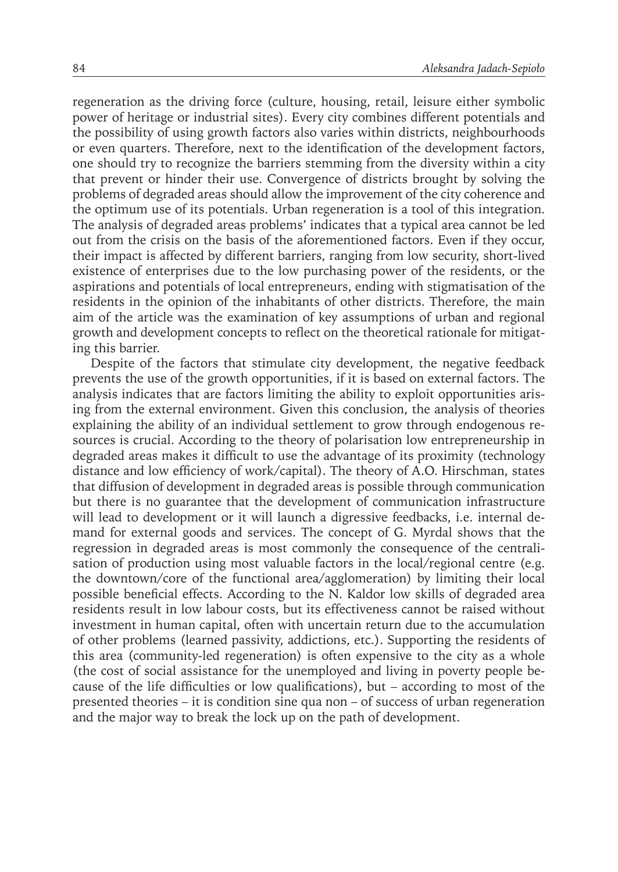regeneration as the driving force (culture, housing, retail, leisure either symbolic power of heritage or industrial sites). Every city combines different potentials and the possibility of using growth factors also varies within districts, neighbourhoods or even quarters. Therefore, next to the identification of the development factors, one should try to recognize the barriers stemming from the diversity within a city that prevent or hinder their use. Convergence of districts brought by solving the problems of degraded areas should allow the improvement of the city coherence and the optimum use of its potentials. Urban regeneration is a tool of this integration. The analysis of degraded areas problems' indicates that a typical area cannot be led out from the crisis on the basis of the aforementioned factors. Even if they occur, their impact is affected by different barriers, ranging from low security, short-lived existence of enterprises due to the low purchasing power of the residents, or the aspirations and potentials of local entrepreneurs, ending with stigmatisation of the residents in the opinion of the inhabitants of other districts. Therefore, the main aim of the article was the examination of key assumptions of urban and regional growth and development concepts to reflect on the theoretical rationale for mitigating this barrier.

Despite of the factors that stimulate city development, the negative feedback prevents the use of the growth opportunities, if it is based on external factors. The analysis indicates that are factors limiting the ability to exploit opportunities arising from the external environment. Given this conclusion, the analysis of theories explaining the ability of an individual settlement to grow through endogenous resources is crucial. According to the theory of polarisation low entrepreneurship in degraded areas makes it difficult to use the advantage of its proximity (technology distance and low efficiency of work/capital). The theory of A.O. Hirschman, states that diffusion of development in degraded areas is possible through communication but there is no guarantee that the development of communication infrastructure will lead to development or it will launch a digressive feedbacks, i.e. internal demand for external goods and services. The concept of G. Myrdal shows that the regression in degraded areas is most commonly the consequence of the centralisation of production using most valuable factors in the local/regional centre (e.g. the downtown/core of the functional area/agglomeration) by limiting their local possible beneficial effects. According to the N. Kaldor low skills of degraded area residents result in low labour costs, but its effectiveness cannot be raised without investment in human capital, often with uncertain return due to the accumulation of other problems (learned passivity, addictions, etc.). Supporting the residents of this area (community-led regeneration) is often expensive to the city as a whole (the cost of social assistance for the unemployed and living in poverty people because of the life difficulties or low qualifications), but – according to most of the presented theories – it is condition sine qua non – of success of urban regeneration and the major way to break the lock up on the path of development.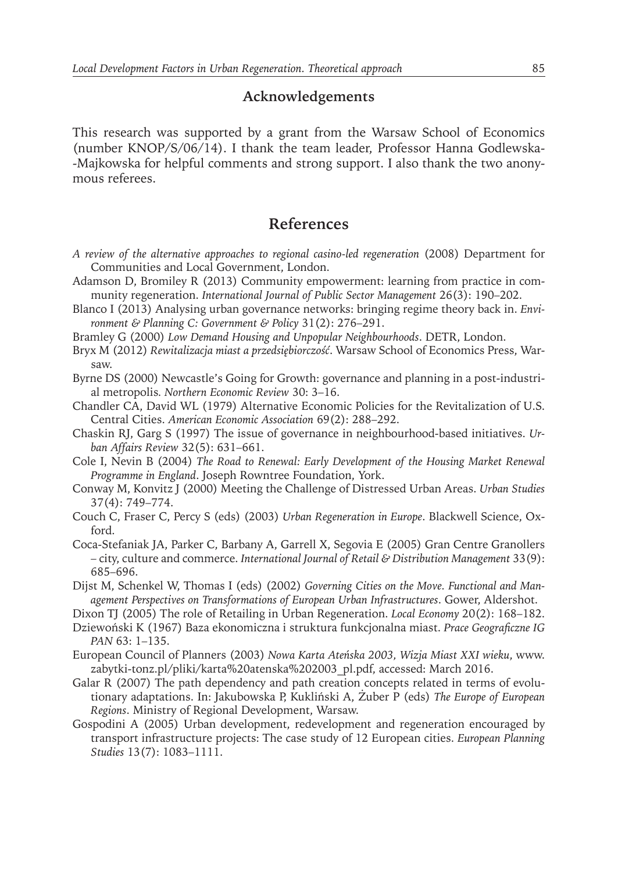#### **Acknowledgements**

This research was supported by a grant from the Warsaw School of Economics (number KNOP/S/06/14). I thank the team leader, Professor Hanna Godlewska- -Majkowska for helpful comments and strong support. I also thank the two anonymous referees.

#### **References**

- *A review of the alternative approaches to regional casino-led regeneration* (2008) Department for Communities and Local Government, London.
- Adamson D, Bromiley R (2013) Community empowerment: learning from practice in community regeneration. *International Journal of Public Sector Management* 26(3): 190–202.
- Blanco I (2013) Analysing urban governance networks: bringing regime theory back in. *Environment & Planning C: Government & Policy* 31(2): 276–291.
- Bramley G (2000) *Low Demand Housing and Unpopular Neighbourhoods*. DETR, London.
- Bryx M (2012) *Rewitalizacja miast a przedsiębiorczość*. Warsaw School of Economics Press, Warsaw.
- Byrne DS (2000) Newcastle's Going for Growth: governance and planning in a post-industrial metropolis*. Northern Economic Review* 30: 3–16.
- Chandler CA, David WL (1979) Alternative Economic Policies for the Revitalization of U.S. Central Cities. *American Economic Association* 69(2): 288–292.
- Chaskin RJ, Garg S (1997) The issue of governance in neighbourhood-based initiatives. *Urban Affairs Review* 32(5): 631–661.
- Cole I, Nevin B (2004) *The Road to Renewal: Early Development of the Housing Market Renewal Programme in England*. Joseph Rowntree Foundation, York.
- Conway M, Konvitz J (2000) Meeting the Challenge of Distressed Urban Areas. *Urban Studies* 37(4): 749–774.
- Couch C, Fraser C, Percy S (eds) (2003) *Urban Regeneration in Europe*. Blackwell Science, Oxford.
- Coca-Stefaniak JA, Parker C, Barbany A, Garrell X, Segovia E (2005) Gran Centre Granollers – city, culture and commerce. *International Journal of Retail & Distribution Management* 33(9): 685–696.
- Dijst M, Schenkel W, Thomas I (eds) (2002) *Governing Cities on the Move. Functional and Management Perspectives on Transformations of European Urban Infrastructures*. Gower, Aldershot.
- Dixon TJ (2005) The role of Retailing in Urban Regeneration. *Local Economy* 20(2): 168–182.
- Dziewoński K (1967) Baza ekonomiczna i struktura funkcjonalna miast. *Prace Geograficzne IG PAN* 63: 1–135.
- European Council of Planners (2003) *Nowa Karta Ateńska 2003, Wizja Miast XXI wieku*, www. zabytki-tonz.pl/pliki/karta%20atenska%202003\_pl.pdf, accessed: March 2016.
- Galar R (2007) The path dependency and path creation concepts related in terms of evolutionary adaptations. In: Jakubowska P, Kukliński A, Żuber P (eds) *The Europe of European Regions*. Ministry of Regional Development, Warsaw.
- Gospodini A (2005) Urban development, redevelopment and regeneration encouraged by transport infrastructure projects: The case study of 12 European cities. *European Planning Studies* 13(7): 1083–1111.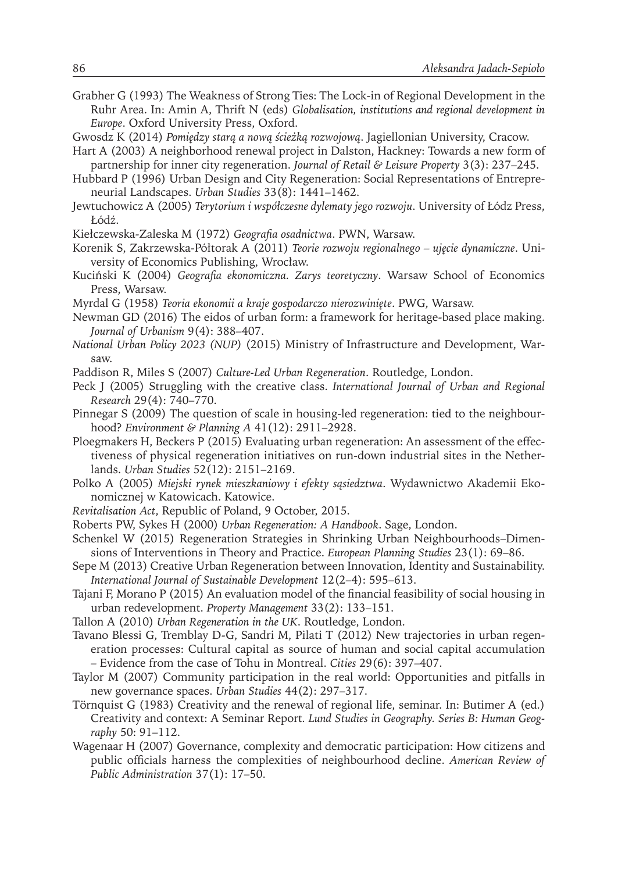- Grabher G (1993) The Weakness of Strong Ties: The Lock-in of Regional Development in the Ruhr Area. In: Amin A, Thrift N (eds) *Globalisation, institutions and regional development in Europe*. Oxford University Press, Oxford.
- Gwosdz K (2014) *Pomiędzy starą a nową ścieżką rozwojową*. Jagiellonian University, Cracow.
- Hart A (2003) A neighborhood renewal project in Dalston, Hackney: Towards a new form of partnership for inner city regeneration. *Journal of Retail & Leisure Property* 3(3): 237–245.
- Hubbard P (1996) Urban Design and City Regeneration: Social Representations of Entrepreneurial Landscapes. *Urban Studies* 33(8): 1441–1462.
- Jewtuchowicz A (2005) *Terytorium i współczesne dylematy jego rozwoju*. University of Łódz Press, Łódź.
- Kiełczewska-Zaleska M (1972) *Geografia osadnictwa*. PWN, Warsaw.
- Korenik S, Zakrzewska-Półtorak A (2011) *Teorie rozwoju regionalnego – ujęcie dynamiczne*. University of Economics Publishing, Wrocław.
- Kuciński K (2004) *Geografia ekonomiczna. Zarys teoretyczny*. Warsaw School of Economics Press, Warsaw.
- Myrdal G (1958) *Teoria ekonomii a kraje gospodarczo nierozwinięte*. PWG, Warsaw.
- Newman GD (2016) The eidos of urban form: a framework for heritage-based place making. *Journal of Urbanism* 9(4): 388–407.
- *National Urban Policy 2023 (NUP)* (2015) Ministry of Infrastructure and Development, Warsaw.
- Paddison R, Miles S (2007) *Culture-Led Urban Regeneration*. Routledge, London.
- Peck J (2005) Struggling with the creative class. *International Journal of Urban and Regional Research* 29(4): 740–770.
- Pinnegar S (2009) The question of scale in housing-led regeneration: tied to the neighbourhood? *Environment & Planning A* 41(12): 2911–2928.
- Ploegmakers H, Beckers P (2015) Evaluating urban regeneration: An assessment of the effectiveness of physical regeneration initiatives on run-down industrial sites in the Netherlands. *Urban Studies* 52(12): 2151–2169.
- Polko A (2005) *Miejski rynek mieszkaniowy i efekty sąsiedztwa*. Wydawnictwo Akademii Ekonomicznej w Katowicach. Katowice.
- *Revitalisation Act*, Republic of Poland, 9 October, 2015.
- Roberts PW, Sykes H (2000) *Urban Regeneration: A Handbook*. Sage, London.
- Schenkel W (2015) Regeneration Strategies in Shrinking Urban Neighbourhoods–Dimensions of Interventions in Theory and Practice. *European Planning Studies* 23(1): 69–86.
- Sepe M (2013) Creative Urban Regeneration between Innovation, Identity and Sustainability. *International Journal of Sustainable Development* 12(2–4): 595–613.
- Tajani F, Morano P (2015) An evaluation model of the financial feasibility of social housing in urban redevelopment. *Property Management* 33(2): 133–151.
- Tallon A (2010) *Urban Regeneration in the UK*. Routledge, London.
- Tavano Blessi G, Tremblay D-G, Sandri M, Pilati T (2012) New trajectories in urban regeneration processes: Cultural capital as source of human and social capital accumulation – Evidence from the case of Tohu in Montreal. *Cities* 29(6): 397–407.
- Taylor M (2007) Community participation in the real world: Opportunities and pitfalls in new governance spaces. *Urban Studies* 44(2): 297–317.
- Törnquist G (1983) Creativity and the renewal of regional life, seminar. In: Butimer A (ed.) Creativity and context: A Seminar Report*. Lund Studies in Geography. Series B: Human Geography* 50: 91–112.
- Wagenaar H (2007) Governance, complexity and democratic participation: How citizens and public officials harness the complexities of neighbourhood decline. *American Review of Public Administration* 37(1): 17–50.